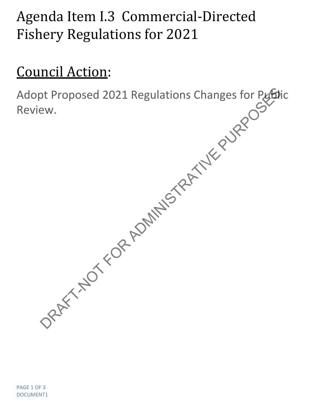## Agenda Item I.3 Commercial-Directed Fishery Regulations for 2021

## Council Action:

Adopt Proposed 2021 Regulations Changes for Public Review. DRAFT-NOT FOR ADMINISTRATIVE PURPOSED PUBLIC PUBLIC PUBLIC PUBLIC PUBLIC PUBLIC PUBLIC PUBLIC PUBLIC PUBLIC PUBLIC PUBLIC PUBLIC PUBLIC PUBLIC PUBLIC PUBLIC PUBLIC PUBLIC PUBLIC PUBLIC PUBLIC PUBLIC PUBLIC PUBLIC PUBLIC PU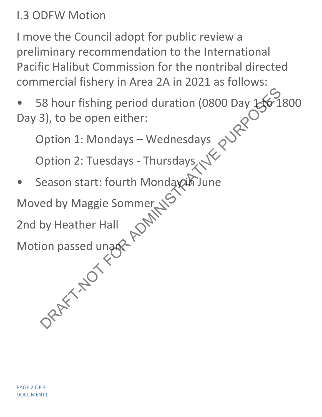I.3 ODFW Motion

I move the Council adopt for public review a preliminary recommendation to the International Pacific Halibut Commission for the nontribal directed commercial fishery in Area 2A in 2021 as follows:

• 58 hour fishing period duration (0800 Day 150 1800 Day 3), to be open either: SPARE THE SPACE of the spanning period duration (0800 Day 156-1<br>
3), to be open either:<br>
Dption 1: Mondays – Wednesdays<br>
Dption 2: Tuesdays - Thursdays<br>
Dption 2: Tuesdays - Thursdays<br>
Deption 2: Tuesdays - Thursdays<br>
Dep

Option 1: Mondays – Wednesdays

Option 2: Tuesdays - Thursdays

Season start: fourth Mondaxin June

Moved by Maggie Sommer

2nd by Heather Hall

Motion passed unan